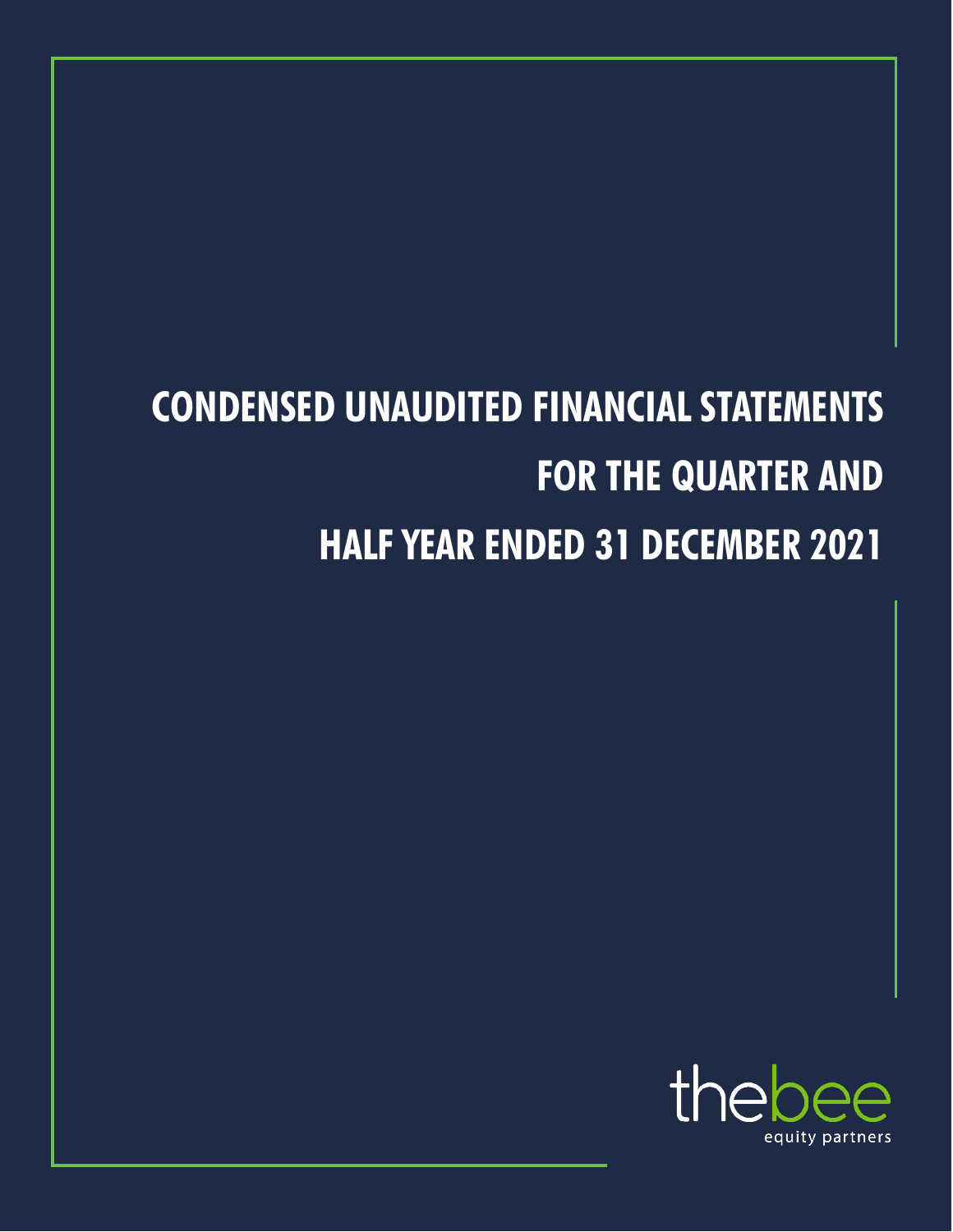# **CONDENSED UNAUDITED FINANCIAL STATEMENTS FOR THE QUARTER AND HALF YEAR ENDED 31 DECEMBER 2021**